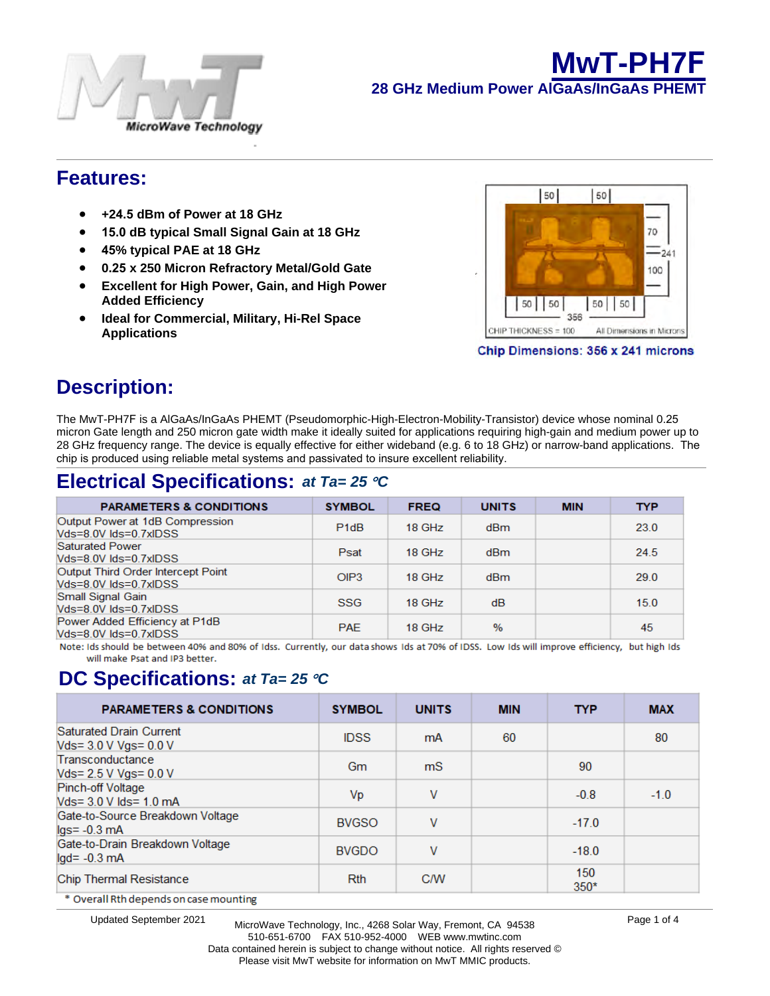

## **Features:**

- **24.5 dBm of Power at 18 GHz**
- **15 dB typical Small Signal Gain at 18 GHz**
- **45% typical PAE at 18 GHz**
- **0.25 x 250 Micron Refractory Metal/Gold Gate**
- **Excellent for High Gain, and High Power Added Efficiency**
- **Ideal for Commercial, Military, Hi-Rel Space Applications**



# **Description:**

The MwT-PH7F is a AlGaAs/InGaAs PHEMT (Pseudomorphic-High-Electron-Mobility-Transistor) device whose nominal 0.25 micron Gate length and 250 micron gate width make it ideally suited for applications requiring high-gain and medium power up to 28 GHz frequency range. The device is equally effective for either wideband (e.g. 6 to 18 GHz) or narrow-band applications. The chip is produced using reliable metal systems and passivated to insure excellent reliability.

# **Electrical Specifications:** *at Ta= 25* °*C*

| <b>PARAMETERS &amp; CONDITIONS</b>                          | <b>SYMBOL</b>    | <b>FREQ</b> | <b>UNITS</b> | <b>MIN</b> | <b>TYP</b> |
|-------------------------------------------------------------|------------------|-------------|--------------|------------|------------|
| Output Power at 1dB Compression<br>Vds=8.0V lds=0.7xIDSS    | P <sub>1dB</sub> | 18 GHz      | dBm          |            | 23.0       |
| Saturated Power<br>Vds=8.0V lds=0.7xlDSS                    | Psat             | 18 GHz      | dBm          |            | 24.5       |
| Output Third Order Intercept Point<br>Vds=8.0V lds=0.7xIDSS | OIP3             | 18 GHz      | dBm          |            | 29.0       |
| Small Signal Gain<br>Vds=8.0V lds=0.7xIDSS                  | <b>SSG</b>       | 18 GHz      | dB           |            | 15.0       |
| Power Added Efficiency at P1dB<br>Vds=8.0V lds=0.7xIDSS     | <b>PAF</b>       | 18 GHz      | $\%$         |            | 45         |

Note: Ids should be between 40% and 80% of Idss. Currently, our data shows Ids at 70% of IDSS. Low Ids will improve efficiency, but high Ids will make Psat and IP3 better.

## **DC Specifications:** *at Ta= 25* °*C*

| <b>PARAMETERS &amp; CONDITIONS</b>                  | <b>SYMBOL</b> | <b>UNITS</b>   | <b>MIN</b> | <b>TYP</b>    | <b>MAX</b> |
|-----------------------------------------------------|---------------|----------------|------------|---------------|------------|
| Saturated Drain Current<br>Vds= 3.0 V Vgs= 0.0 V    | <b>IDSS</b>   | mA             | 60         |               | 80         |
| Transconductance<br>Vds= 2.5 V Vgs= 0.0 V           | Gm            | m <sub>S</sub> |            | 90            |            |
| Pinch-off Voltage<br>Vds= 3.0 V lds= 1.0 mA         | Vp            | V              |            | $-0.8$        | $-1.0$     |
| Gate-to-Source Breakdown Voltage<br>$lgs = -0.3$ mA | <b>BVGSO</b>  | V              |            | $-17.0$       |            |
| Gate-to-Drain Breakdown Voltage<br>$lgd = -0.3$ mA  | <b>BVGDO</b>  | V              |            | $-18.0$       |            |
| Chip Thermal Resistance                             | <b>Rth</b>    | <b>C/W</b>     |            | 150<br>$350*$ |            |
| * Overall Rth depends on case mounting              |               |                |            |               |            |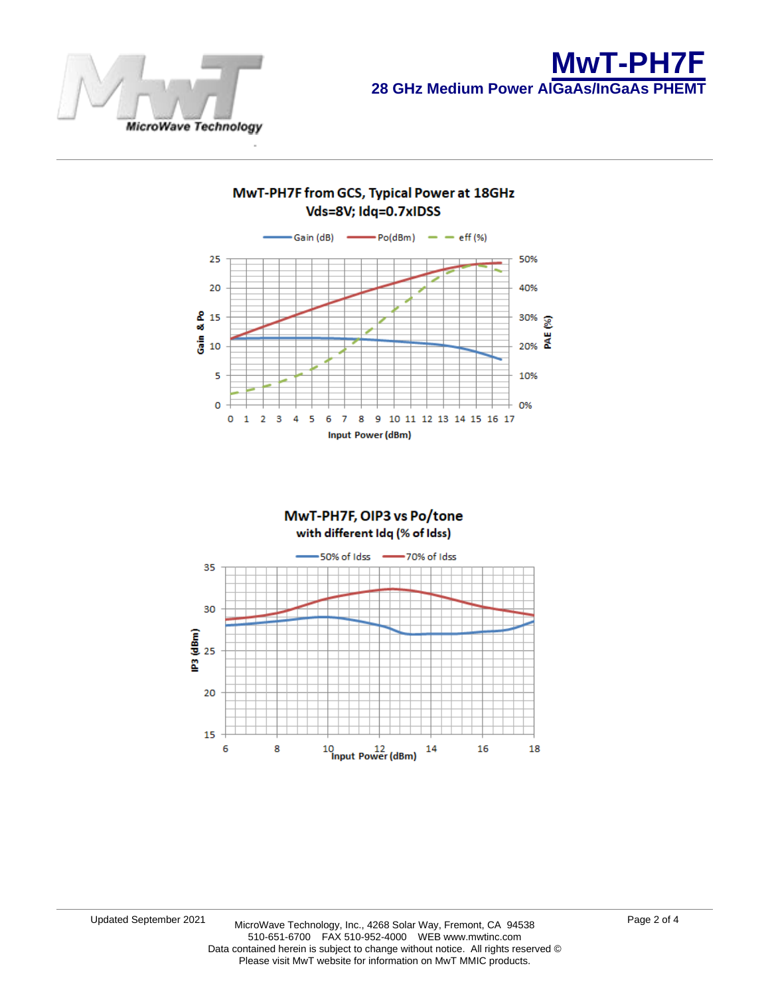

### MwT-PH7F from GCS, Typical Power at 18GHz Vds=8V; Idq=0.7xIDSS



### MwT-PH7F, OIP3 vs Po/tone with different Idq (% of Idss) 50% of Idss 70% of Idss 35 30 es (dBm)<br>P3 25 20 15 16 6 8 10<br>Input Power (dBm) 14 18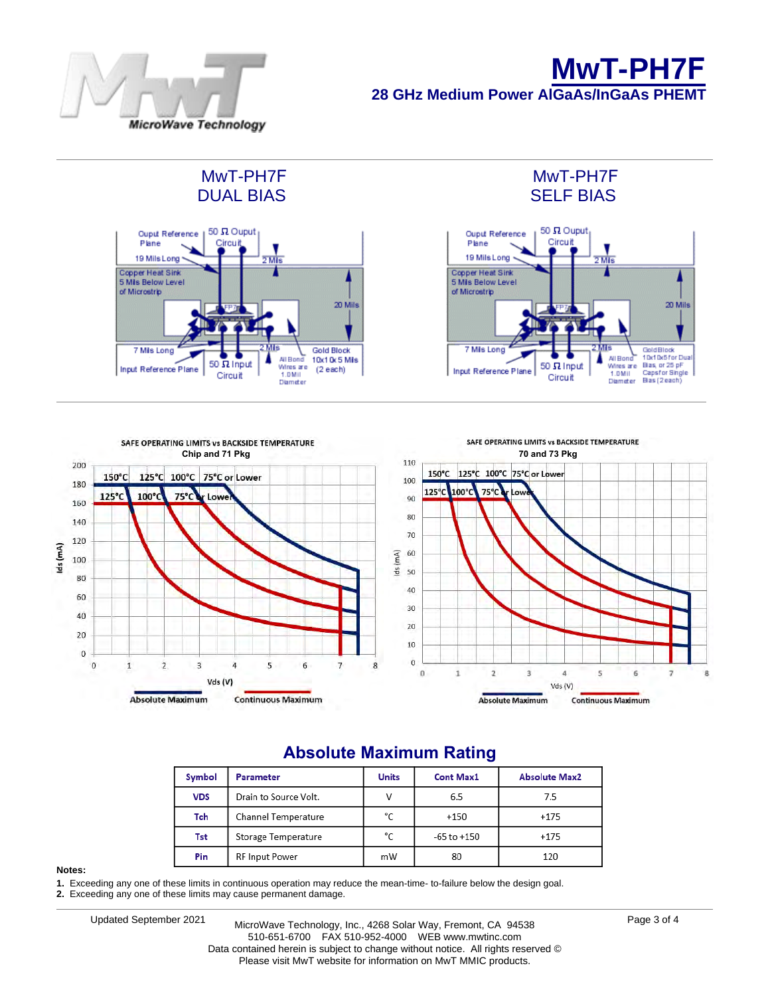

**MwT-PH7F 28 GHz Medium Power AlGaAs/InGaAs PHEMT** 

### MwT-PH7F DUAL BIAS





MwT-PH7F SELF BIAS



## **Absolute Maximum Rating**

| Symbol     | Parameter             | <b>Units</b> | <b>Cont Max1</b> | <b>Absolute Max2</b> |  |
|------------|-----------------------|--------------|------------------|----------------------|--|
| <b>VDS</b> | Drain to Source Volt. | v            | 6.5              | 7.5                  |  |
| Tch        | Channel Temperature   | °C           | $+150$           | $+175$               |  |
| Tst        | Storage Temperature   | °C           | $-65$ to $+150$  | $+175$               |  |
| Pin        | RF Input Power        | mW           | 80               | 120                  |  |

#### **Notes:**

**1.** Exceeding any one of these limits in continuous operation may reduce the mean-time- to-failure below the design goal.

**2.** Exceeding any one of these limits may cause permanent damage.